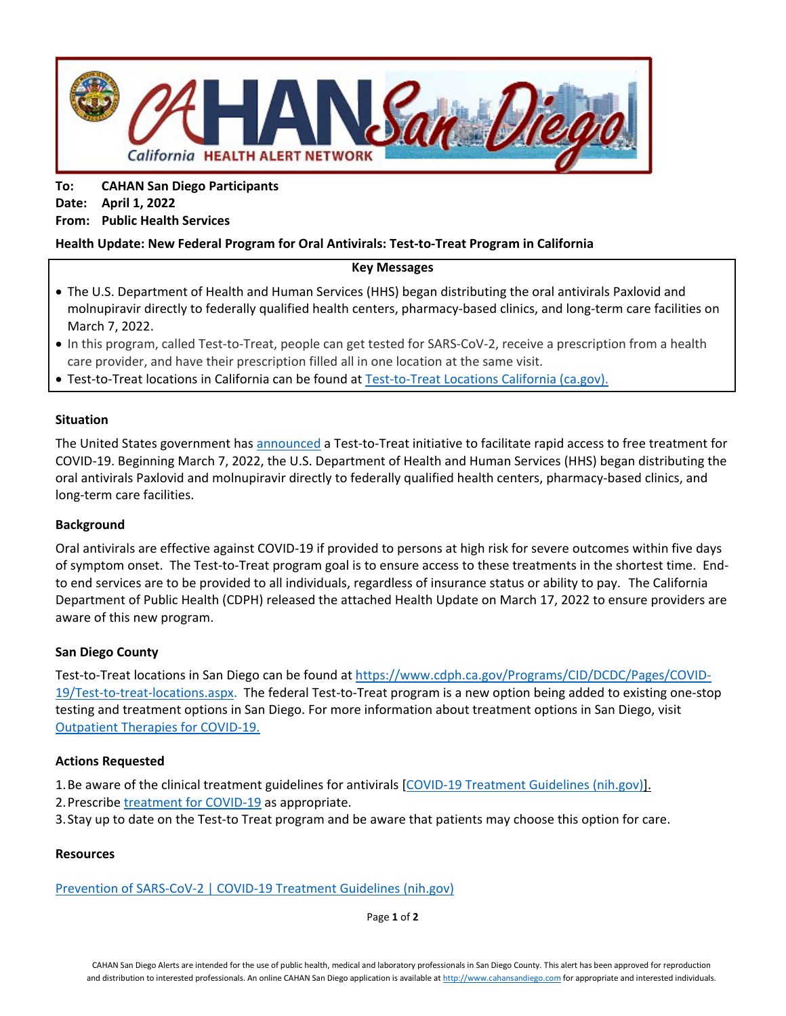

**To: CAHAN San Diego Participants Date: April 1, 2022 From: Public Health Services**

## **Health Update: New Federal Program for Oral Antivirals: Test-to-Treat Program in California**

### **Key Messages**

- The U.S. Department of Health and Human Services (HHS) began distributing the oral antivirals Paxlovid and molnupiravir directly to federally qualified health centers, pharmacy-based clinics, and long-term care facilities on March 7, 2022.
- In this program, called Test-to-Treat, people can get tested for SARS-CoV-2, receive a prescription from a health care provider, and have their prescription filled all in one location at the same visit.
- Test-to-Treat locations in California can be found at [Test-to-Treat Locations California \(ca.gov\).](https://www.cdph.ca.gov/Programs/CID/DCDC/Pages/COVID-19/Test-to-treat-locations.aspx)

### **Situation**

The United States government has [announced](https://aspr.hhs.gov/testtotreat/Pages/default.aspx) a Test-to-Treat initiative to facilitate rapid access to free treatment for COVID-19. Beginning March 7, 2022, the U.S. Department of Health and Human Services (HHS) began distributing the oral antivirals Paxlovid and molnupiravir directly to federally qualified health centers, pharmacy-based clinics, and long-term care facilities.

### **Background**

Oral antivirals are effective against COVID-19 if provided to persons at high risk for severe outcomes within five days of symptom onset. The Test-to-Treat program goal is to ensure access to these treatments in the shortest time. Endto end services are to be provided to all individuals, regardless of insurance status or ability to pay. The California Department of Public Health (CDPH) released the attached Health Update on March 17, 2022 to ensure providers are aware of this new program.

## **San Diego County**

Test-to-Treat locations in San Diego can be found at [https://www.cdph.ca.gov/Programs/CID/DCDC/Pages/COVID-](https://www.cdph.ca.gov/Programs/CID/DCDC/Pages/COVID-19/Test-to-treat-locations.aspx)[19/Test-to-treat-locations.aspx.](https://www.cdph.ca.gov/Programs/CID/DCDC/Pages/COVID-19/Test-to-treat-locations.aspx) The federal Test-to-Treat program is a new option being added to existing one-stop testing and treatment options in San Diego. For more information about treatment options in San Diego, visit [Outpatient Therapies for COVID-19.](https://www.sandiegocounty.gov/content/sdc/hhsa/programs/phs/community_epidemiology/dc/2019-nCoV/CommunitySectors/Healthcare_Providers_Community_Clinics_Hospitals_and_Pharmacies/MARC.html)

### **Actions Requested**

- 1. Be aware of the clinical treatment guidelines for antivirals [\[COVID-19 Treatment Guidelines \(nih.gov\)\]](https://www.covid19treatmentguidelines.nih.gov/overview/prevention-of-sars-cov-2/).
- 2.Prescrib[e treatment for COVID-19](https://www.sandiegocounty.gov/content/dam/sdc/hhsa/programs/phs/Epidemiology/Paxlovid_Flyer.pdf) as appropriate.
- 3.Stay up to date on the Test-to Treat program and be aware that patients may choose this option for care.

### **Resources**

[Prevention of SARS-CoV-2 | COVID-19 Treatment Guidelines \(nih.gov\)](https://www.covid19treatmentguidelines.nih.gov/overview/prevention-of-sars-cov-2/)

Page **1** of **2**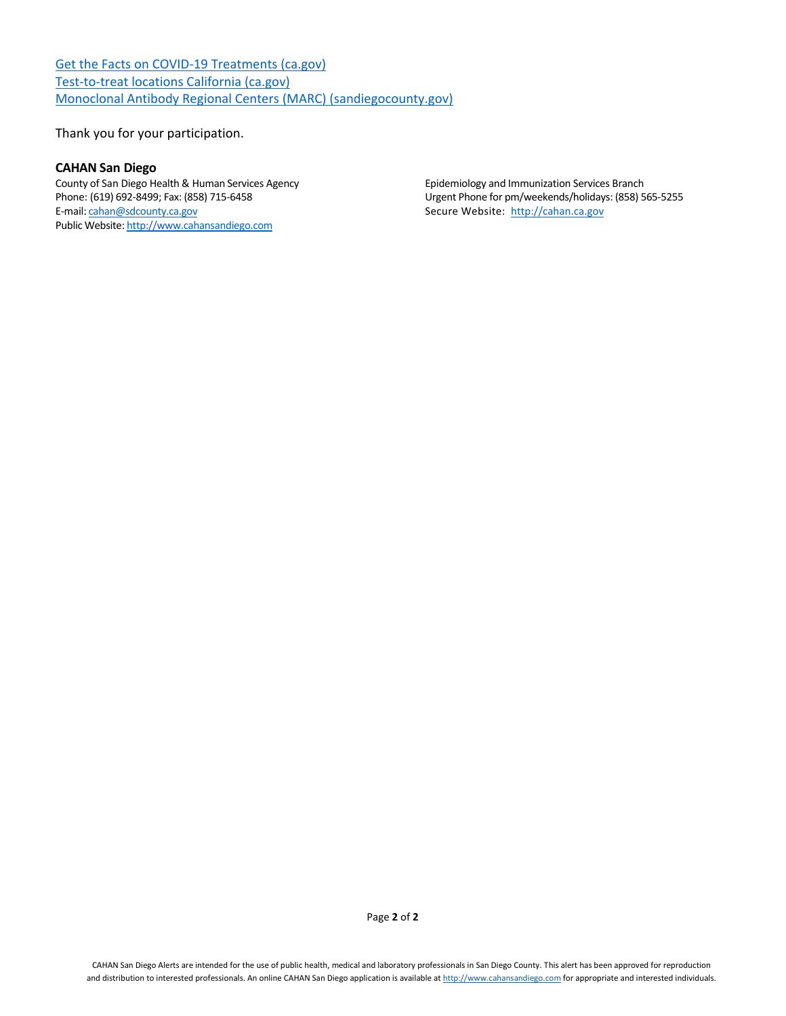[Get the Facts on COVID-19 Treatments \(ca.gov\)](https://www.cdph.ca.gov/Programs/CID/DCDC/Pages/COVID-19/Get-the-Facts-on-Treatments.aspx) [Test-to-treat locations California \(ca.gov\)](https://www.cdph.ca.gov/Programs/CID/DCDC/Pages/COVID-19/Test-to-treat-locations.aspx) [Monoclonal Antibody Regional Centers \(MARC\) \(sandiegocounty.gov\)](https://www.sandiegocounty.gov/content/sdc/hhsa/programs/phs/community_epidemiology/dc/2019-nCoV/CommunitySectors/Healthcare_Providers_Community_Clinics_Hospitals_and_Pharmacies/MARC.html)

Thank you for your participation.

#### **CAHAN San Diego**

County of San Diego Health & Human Services Agency<br>
Phone: (619) 692-8499; Fax: (858) 715-6458<br>
County of San Diego Health & Human Services Agency<br>
County Phone for pm/weekends/holidays: (858) 5 E-mail: [cahan@sdcounty.ca.gov](mailto:cahan@sdcounty.ca.gov) example and the secure Website: http://cahan.ca.gov Public Website[: http://www.cahansandiego.com](http://www.cahansandiego.com/)

Urgent Phone for pm/weekends/holidays: (858) 565-5255

Page **2** of **2**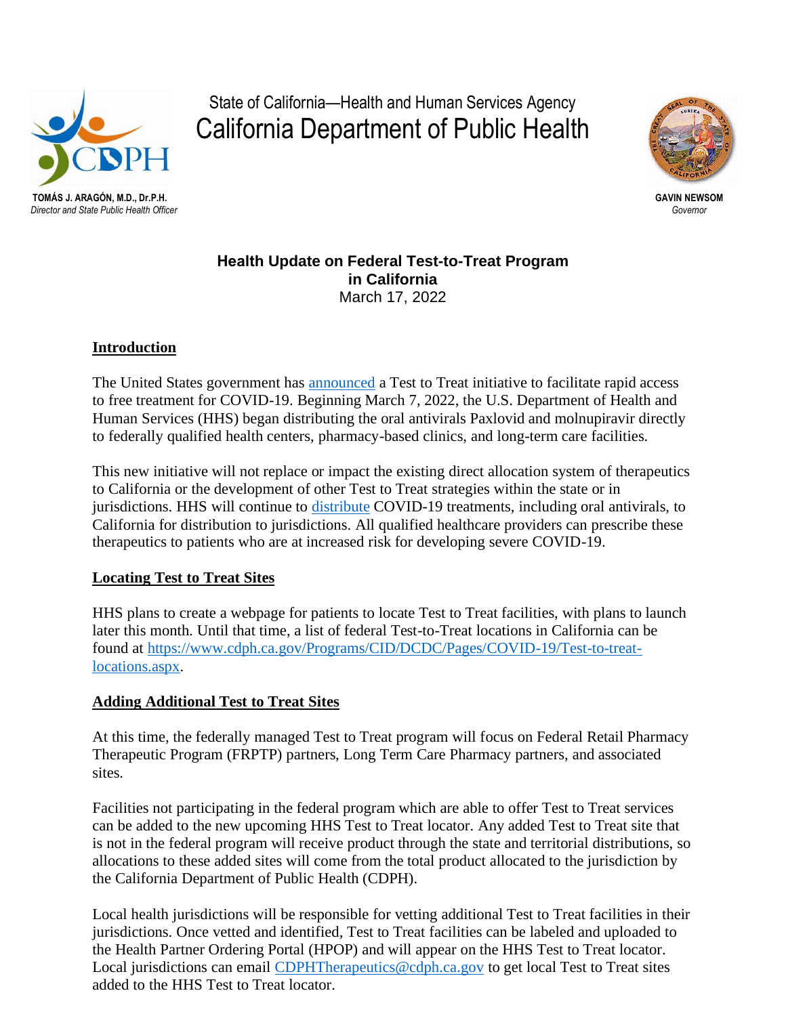

State of California—Health and Human Services Agency California Department of Public Health



*Director and State Public Health Officer Governor*

**Health Update on Federal Test-to-Treat Program in California**  March 17, 2022

# **Introduction**

The United States government has [announced](https://aspr.hhs.gov/testtotreat/Pages/default.aspx) a Test to Treat initiative to facilitate rapid access to free treatment for COVID-19. Beginning March 7, 2022, the U.S. Department of Health and Human Services (HHS) began distributing the oral antivirals Paxlovid and molnupiravir directly to federally qualified health centers, pharmacy-based clinics, and long-term care facilities.

This new initiative will not replace or impact the existing direct allocation system of therapeutics to California or the development of other Test to Treat strategies within the state or in jurisdictions. HHS will continue to [distribute](https://aspr.hhs.gov/COVID-19/Therapeutics/Distribution/Pages/default.aspx) COVID-19 treatments, including oral antivirals, to California for distribution to jurisdictions. All qualified healthcare providers can prescribe these therapeutics to patients who are at increased risk for developing severe COVID-19.

# **Locating Test to Treat Sites**

HHS plans to create a webpage for patients to locate Test to Treat facilities, with plans to launch later this month. Until that time, a list of federal Test-to-Treat locations in California can be found at [https://www.cdph.ca.gov/Programs/CID/DCDC/Pages/COVID-19/Test-to-treat](https://www.cdph.ca.gov/Programs/CID/DCDC/Pages/COVID-19/Test-to-treat-locations.aspx)[locations.aspx.](https://www.cdph.ca.gov/Programs/CID/DCDC/Pages/COVID-19/Test-to-treat-locations.aspx)

# **Adding Additional Test to Treat Sites**

At this time, the federally managed Test to Treat program will focus on Federal Retail Pharmacy Therapeutic Program (FRPTP) partners, Long Term Care Pharmacy partners, and associated sites.

Facilities not participating in the federal program which are able to offer Test to Treat services can be added to the new upcoming HHS Test to Treat locator. Any added Test to Treat site that is not in the federal program will receive product through the state and territorial distributions, so allocations to these added sites will come from the total product allocated to the jurisdiction by the California Department of Public Health (CDPH).

Local health jurisdictions will be responsible for vetting additional Test to Treat facilities in their jurisdictions. Once vetted and identified, Test to Treat facilities can be labeled and uploaded to the Health Partner Ordering Portal (HPOP) and will appear on the HHS Test to Treat locator. Local jurisdictions can email [CDPHTherapeutics@cdph.ca.gov](mailto:CDPHTherapeutics@cdph.ca.gov) to get local Test to Treat sites added to the HHS Test to Treat locator.